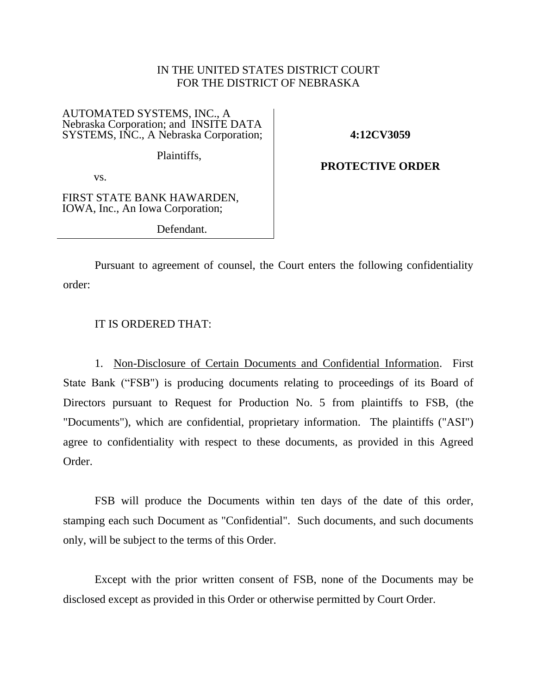# IN THE UNITED STATES DISTRICT COURT FOR THE DISTRICT OF NEBRASKA

#### AUTOMATED SYSTEMS, INC., A Nebraska Corporation; and INSITE DATA SYSTEMS, INC., A Nebraska Corporation;

**4:12CV3059**

Plaintiffs,

**PROTECTIVE ORDER**

vs.

FIRST STATE BANK HAWARDEN, IOWA, Inc., An Iowa Corporation;

Defendant.

Pursuant to agreement of counsel, the Court enters the following confidentiality order:

## IT IS ORDERED THAT:

1. Non-Disclosure of Certain Documents and Confidential Information. First State Bank ("FSB") is producing documents relating to proceedings of its Board of Directors pursuant to Request for Production No. 5 from plaintiffs to FSB, (the "Documents"), which are confidential, proprietary information. The plaintiffs ("ASI") agree to confidentiality with respect to these documents, as provided in this Agreed Order.

FSB will produce the Documents within ten days of the date of this order, stamping each such Document as "Confidential". Such documents, and such documents only, will be subject to the terms of this Order.

Except with the prior written consent of FSB, none of the Documents may be disclosed except as provided in this Order or otherwise permitted by Court Order.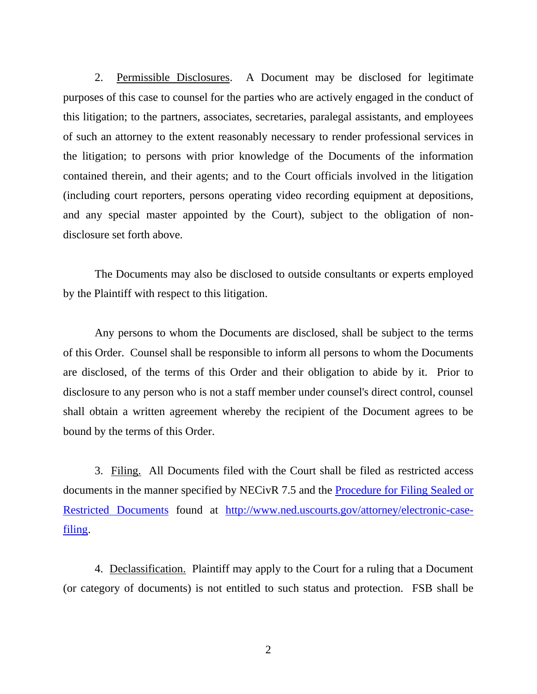2. Permissible Disclosures. A Document may be disclosed for legitimate purposes of this case to counsel for the parties who are actively engaged in the conduct of this litigation; to the partners, associates, secretaries, paralegal assistants, and employees of such an attorney to the extent reasonably necessary to render professional services in the litigation; to persons with prior knowledge of the Documents of the information contained therein, and their agents; and to the Court officials involved in the litigation (including court reporters, persons operating video recording equipment at depositions, and any special master appointed by the Court), subject to the obligation of nondisclosure set forth above.

The Documents may also be disclosed to outside consultants or experts employed by the Plaintiff with respect to this litigation.

Any persons to whom the Documents are disclosed, shall be subject to the terms of this Order. Counsel shall be responsible to inform all persons to whom the Documents are disclosed, of the terms of this Order and their obligation to abide by it. Prior to disclosure to any person who is not a staff member under counsel's direct control, counsel shall obtain a written agreement whereby the recipient of the Document agrees to be bound by the terms of this Order.

3. Filing. All Documents filed with the Court shall be filed as restricted access documents in the manner specified by NECivR 7.5 and the [Procedure for Filing Sealed or](http://www.ned.uscourts.gov/internetDocs/cmecf/Seal-Restrict.pdf)  [Restricted Documents](http://www.ned.uscourts.gov/internetDocs/cmecf/Seal-Restrict.pdf) found at [http://www.ned.uscourts.gov/attorney/electronic-case](http://www.ned.uscourts.gov/attorney/electronic-case-filing)[filing.](http://www.ned.uscourts.gov/attorney/electronic-case-filing)

4. Declassification. Plaintiff may apply to the Court for a ruling that a Document (or category of documents) is not entitled to such status and protection. FSB shall be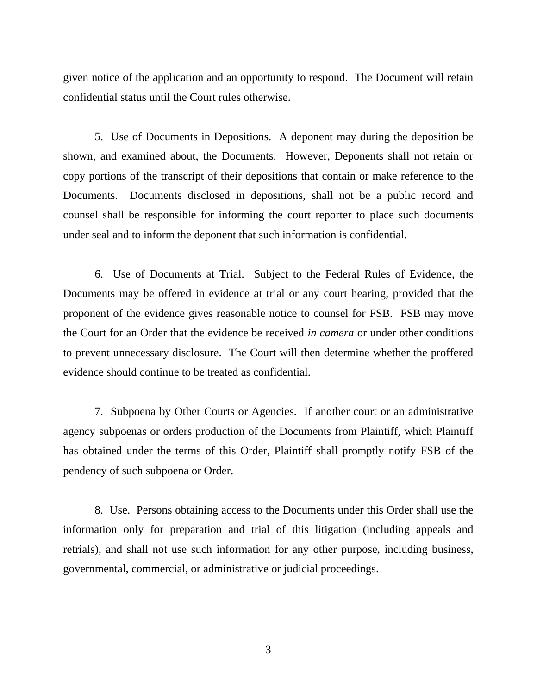given notice of the application and an opportunity to respond. The Document will retain confidential status until the Court rules otherwise.

5. Use of Documents in Depositions. A deponent may during the deposition be shown, and examined about, the Documents. However, Deponents shall not retain or copy portions of the transcript of their depositions that contain or make reference to the Documents. Documents disclosed in depositions, shall not be a public record and counsel shall be responsible for informing the court reporter to place such documents under seal and to inform the deponent that such information is confidential.

6. Use of Documents at Trial. Subject to the Federal Rules of Evidence, the Documents may be offered in evidence at trial or any court hearing, provided that the proponent of the evidence gives reasonable notice to counsel for FSB. FSB may move the Court for an Order that the evidence be received *in camera* or under other conditions to prevent unnecessary disclosure. The Court will then determine whether the proffered evidence should continue to be treated as confidential.

7. Subpoena by Other Courts or Agencies. If another court or an administrative agency subpoenas or orders production of the Documents from Plaintiff, which Plaintiff has obtained under the terms of this Order, Plaintiff shall promptly notify FSB of the pendency of such subpoena or Order.

8. Use. Persons obtaining access to the Documents under this Order shall use the information only for preparation and trial of this litigation (including appeals and retrials), and shall not use such information for any other purpose, including business, governmental, commercial, or administrative or judicial proceedings.

3